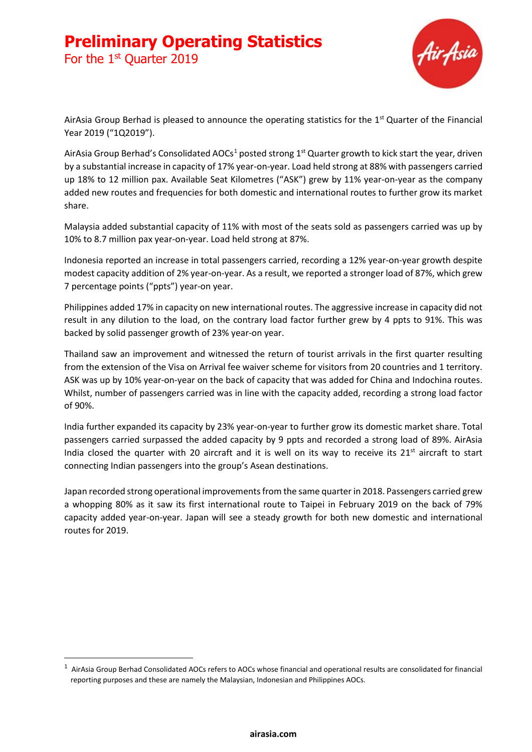For the 1<sup>st</sup> Quarter 2019



AirAsia Group Berhad is pleased to announce the operating statistics for the 1<sup>st</sup> Quarter of the Financial Year 2019 ("1Q2019").

AirAsia Group Berhad's Consolidated AOCs<sup>[1](#page-0-0)</sup> posted strong 1<sup>st</sup> Quarter growth to kick start the year, driven by a substantial increase in capacity of 17% year-on-year. Load held strong at 88% with passengers carried up 18% to 12 million pax. Available Seat Kilometres ("ASK") grew by 11% year-on-year as the company added new routes and frequencies for both domestic and international routes to further grow its market share.

Malaysia added substantial capacity of 11% with most of the seats sold as passengers carried was up by 10% to 8.7 million pax year-on-year. Load held strong at 87%.

Indonesia reported an increase in total passengers carried, recording a 12% year-on-year growth despite modest capacity addition of 2% year-on-year. As a result, we reported a stronger load of 87%, which grew 7 percentage points ("ppts") year-on year.

Philippines added 17% in capacity on new international routes. The aggressive increase in capacity did not result in any dilution to the load, on the contrary load factor further grew by 4 ppts to 91%. This was backed by solid passenger growth of 23% year-on year.

Thailand saw an improvement and witnessed the return of tourist arrivals in the first quarter resulting from the extension of the Visa on Arrival fee waiver scheme for visitors from 20 countries and 1 territory. ASK was up by 10% year-on-year on the back of capacity that was added for China and Indochina routes. Whilst, number of passengers carried was in line with the capacity added, recording a strong load factor of 90%.

India further expanded its capacity by 23% year-on-year to further grow its domestic market share. Total passengers carried surpassed the added capacity by 9 ppts and recorded a strong load of 89%. AirAsia India closed the quarter with 20 aircraft and it is well on its way to receive its  $21<sup>st</sup>$  aircraft to start connecting Indian passengers into the group's Asean destinations.

Japan recorded strong operational improvements from the same quarter in 2018. Passengers carried grew a whopping 80% as it saw its first international route to Taipei in February 2019 on the back of 79% capacity added year-on-year. Japan will see a steady growth for both new domestic and international routes for 2019.

<span id="page-0-0"></span> $1$  AirAsia Group Berhad Consolidated AOCs refers to AOCs whose financial and operational results are consolidated for financial reporting purposes and these are namely the Malaysian, Indonesian and Philippines AOCs.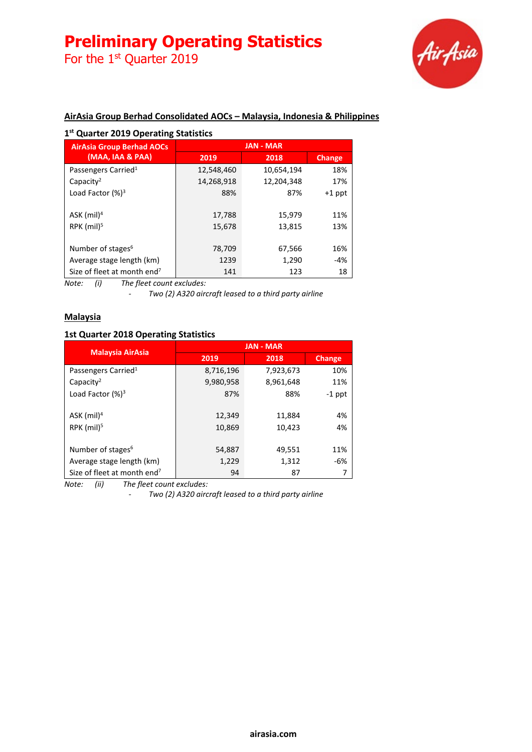For the 1<sup>st</sup> Quarter 2019



# **AirAsia Group Berhad Consolidated AOCs – Malaysia, Indonesia & Philippines**

# **1st Quarter 2019 Operating Statistics**

| <b>AirAsia Group Berhad AOCs</b>        | <b>JAN - MAR</b> |            |               |
|-----------------------------------------|------------------|------------|---------------|
| (MAA, IAA & PAA)                        | 2019             | 2018       | <b>Change</b> |
| Passengers Carried <sup>1</sup>         | 12,548,460       | 10,654,194 | 18%           |
| Capacity <sup>2</sup>                   | 14,268,918       | 12,204,348 | 17%           |
| Load Factor $(%)^3$                     | 88%              | 87%        | $+1$ ppt      |
|                                         |                  |            |               |
| $ASK$ (mil) <sup>4</sup>                | 17,788           | 15,979     | 11%           |
| $RPK$ (mil) <sup>5</sup>                | 15,678           | 13,815     | 13%           |
|                                         |                  |            |               |
| Number of stages <sup>6</sup>           | 78,709           | 67,566     | 16%           |
| Average stage length (km)               | 1239             | 1,290      | $-4%$         |
| Size of fleet at month end <sup>7</sup> | 141              | 123        | 18            |

*Note: (i) The fleet count excludes:*

*- Two (2) A320 aircraft leased to a third party airline*

## **Malaysia**

### **1st Quarter 2018 Operating Statistics**

|                                         | <b>JAN - MAR</b> |           |          |
|-----------------------------------------|------------------|-----------|----------|
| <b>Malaysia AirAsia</b>                 | 2019             | 2018      | Change   |
| Passengers Carried <sup>1</sup>         | 8,716,196        | 7,923,673 | 10%      |
| Capacity <sup>2</sup>                   | 9,980,958        | 8,961,648 | 11%      |
| Load Factor $(%)^3$                     | 87%              | 88%       | $-1$ ppt |
|                                         |                  |           |          |
| ASK $(mil)^4$                           | 12,349           | 11,884    | 4%       |
| $RPK$ (mil) <sup>5</sup>                | 10,869           | 10,423    | 4%       |
|                                         |                  |           |          |
| Number of stages <sup>6</sup>           | 54,887           | 49,551    | 11%      |
| Average stage length (km)               | 1,229            | 1,312     | -6%      |
| Size of fleet at month end <sup>7</sup> | 94               | 87        |          |

*Note: (ii) The fleet count excludes:*

*- Two (2) A320 aircraft leased to a third party airline*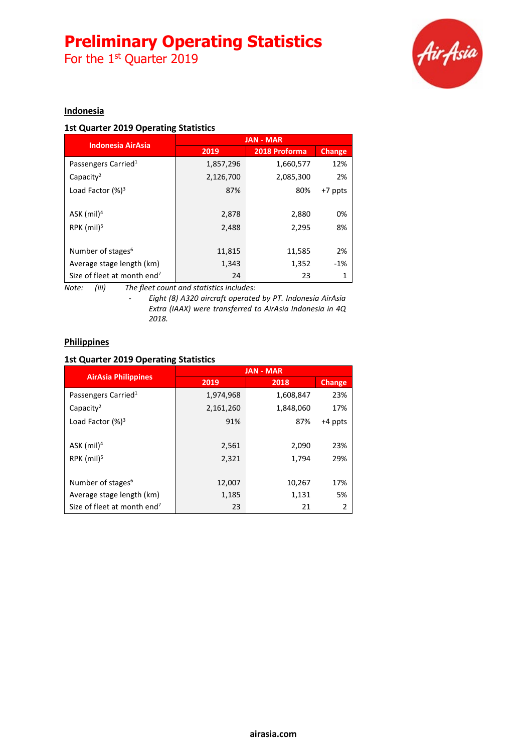For the 1<sup>st</sup> Quarter 2019



#### **Indonesia**

#### **1st Quarter 2019 Operating Statistics**

| <b>Indonesia AirAsia</b>                | <b>JAN - MAR</b> |               |               |
|-----------------------------------------|------------------|---------------|---------------|
|                                         | 2019             | 2018 Proforma | <b>Change</b> |
| Passengers Carried <sup>1</sup>         | 1,857,296        | 1,660,577     | 12%           |
| Capacity <sup>2</sup>                   | 2,126,700        | 2,085,300     | 2%            |
| Load Factor $(%)^3$                     | 87%              | 80%           | +7 ppts       |
|                                         |                  |               |               |
| ASK $(mil)^4$                           | 2,878            | 2,880         | 0%            |
| $RPK$ (mil) <sup>5</sup>                | 2,488            | 2,295         | 8%            |
|                                         |                  |               |               |
| Number of stages <sup>6</sup>           | 11,815           | 11,585        | 2%            |
| Average stage length (km)               | 1,343            | 1,352         | $-1\%$        |
| Size of fleet at month end <sup>7</sup> | 24               | 23            |               |

*Note: (iii) The fleet count and statistics includes:*

*- Eight (8) A320 aircraft operated by PT. Indonesia AirAsia Extra (IAAX) were transferred to AirAsia Indonesia in 4Q 2018.*

## **Philippines**

#### **1st Quarter 2019 Operating Statistics**

| <b>AirAsia Philippines</b>              | <b>JAN - MAR</b> |           |               |
|-----------------------------------------|------------------|-----------|---------------|
|                                         | 2019             | 2018      | <b>Change</b> |
| Passengers Carried <sup>1</sup>         | 1,974,968        | 1,608,847 | 23%           |
| Capacity <sup>2</sup>                   | 2,161,260        | 1,848,060 | 17%           |
| Load Factor $(%)^3$                     | 91%              | 87%       | +4 ppts       |
|                                         |                  |           |               |
| ASK (mil) <sup>4</sup>                  | 2,561            | 2,090     | 23%           |
| $RPK$ (mil) <sup>5</sup>                | 2,321            | 1,794     | 29%           |
|                                         |                  |           |               |
| Number of stages <sup>6</sup>           | 12,007           | 10,267    | 17%           |
| Average stage length (km)               | 1,185            | 1,131     | 5%            |
| Size of fleet at month end <sup>7</sup> | 23               | 21        | 2             |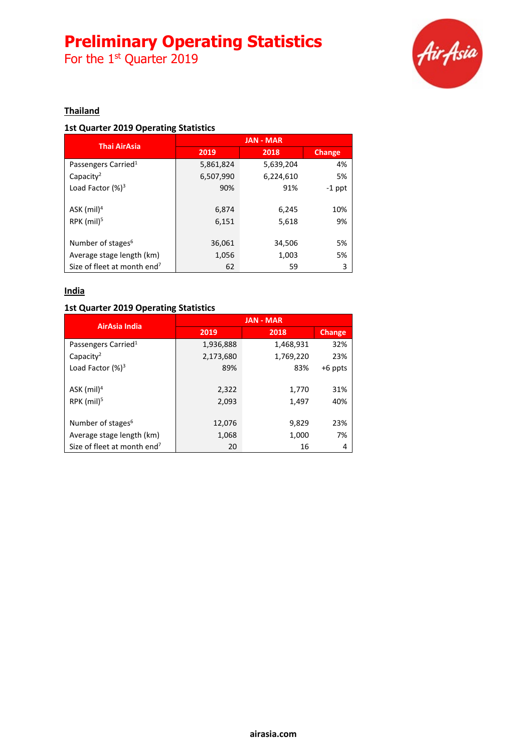For the 1<sup>st</sup> Quarter 2019



## **Thailand**

### **1st Quarter 2019 Operating Statistics**

| <b>Thai AirAsia</b>                     | <b>JAN - MAR</b> |           |               |
|-----------------------------------------|------------------|-----------|---------------|
|                                         | 2019             | 2018      | <b>Change</b> |
| Passengers Carried <sup>1</sup>         | 5,861,824        | 5,639,204 | 4%            |
| Capacity <sup>2</sup>                   | 6,507,990        | 6,224,610 | 5%            |
| Load Factor $(%)^3$                     | 90%              | 91%       | $-1$ ppt      |
|                                         |                  |           |               |
| ASK $(mil)^4$                           | 6,874            | 6,245     | 10%           |
| $RPK$ (mil) <sup>5</sup>                | 6,151            | 5,618     | 9%            |
|                                         |                  |           |               |
| Number of stages <sup>6</sup>           | 36,061           | 34,506    | 5%            |
| Average stage length (km)               | 1,056            | 1,003     | 5%            |
| Size of fleet at month end <sup>7</sup> | 62               | 59        | 3             |

#### **India**

# **1st Quarter 2019 Operating Statistics**

| AirAsia India                           | <b>JAN - MAR</b> |           |           |
|-----------------------------------------|------------------|-----------|-----------|
|                                         | 2019             | 2018      | Change    |
| Passengers Carried <sup>1</sup>         | 1,936,888        | 1,468,931 | 32%       |
| Capacity <sup>2</sup>                   | 2,173,680        | 1,769,220 | 23%       |
| Load Factor $(%)^3$                     | 89%              | 83%       | $+6$ ppts |
|                                         |                  |           |           |
| $ASK$ (mil) <sup>4</sup>                | 2,322            | 1,770     | 31%       |
| $RPK$ (mil) <sup>5</sup>                | 2,093            | 1,497     | 40%       |
|                                         |                  |           |           |
| Number of stages <sup>6</sup>           | 12,076           | 9,829     | 23%       |
| Average stage length (km)               | 1,068            | 1,000     | 7%        |
| Size of fleet at month end <sup>7</sup> | 20               | 16        | 4         |